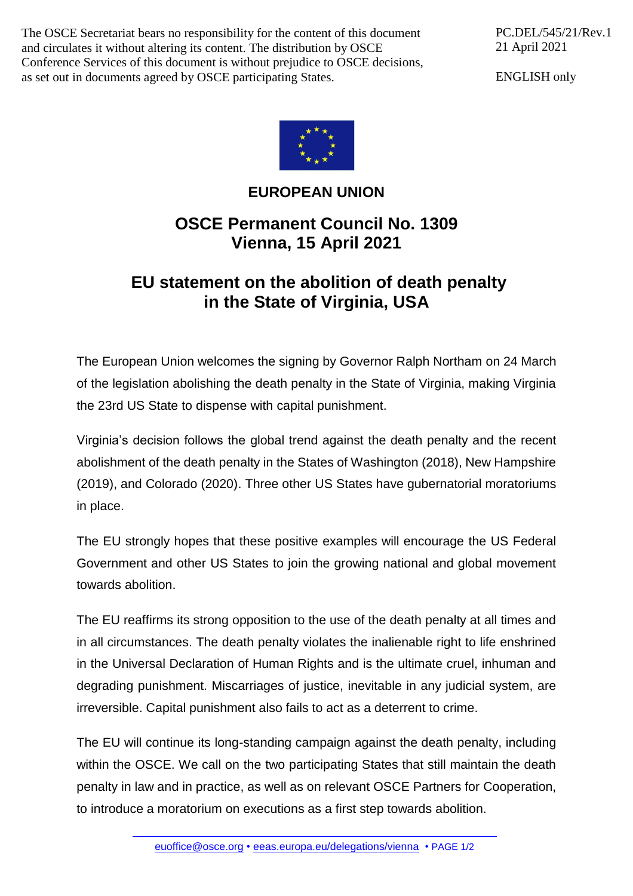The OSCE Secretariat bears no responsibility for the content of this document and circulates it without altering its content. The distribution by OSCE Conference Services of this document is without prejudice to OSCE decisions, as set out in documents agreed by OSCE participating States.

PC.DEL/545/21/Rev.1 21 April 2021

ENGLISH only



## **EUROPEAN UNION**

## **OSCE Permanent Council No. 1309 Vienna, 15 April 2021**

## **EU statement on the abolition of death penalty in the State of Virginia, USA**

The European Union welcomes the signing by Governor Ralph Northam on 24 March of the legislation abolishing the death penalty in the State of Virginia, making Virginia the 23rd US State to dispense with capital punishment.

Virginia's decision follows the global trend against the death penalty and the recent abolishment of the death penalty in the States of Washington (2018), New Hampshire (2019), and Colorado (2020). Three other US States have gubernatorial moratoriums in place.

The EU strongly hopes that these positive examples will encourage the US Federal Government and other US States to join the growing national and global movement towards abolition.

The EU reaffirms its strong opposition to the use of the death penalty at all times and in all circumstances. The death penalty violates the inalienable right to life enshrined in the Universal Declaration of Human Rights and is the ultimate cruel, inhuman and degrading punishment. Miscarriages of justice, inevitable in any judicial system, are irreversible. Capital punishment also fails to act as a deterrent to crime.

The EU will continue its long-standing campaign against the death penalty, including within the OSCE. We call on the two participating States that still maintain the death penalty in law and in practice, as well as on relevant OSCE Partners for Cooperation, to introduce a moratorium on executions as a first step towards abolition.